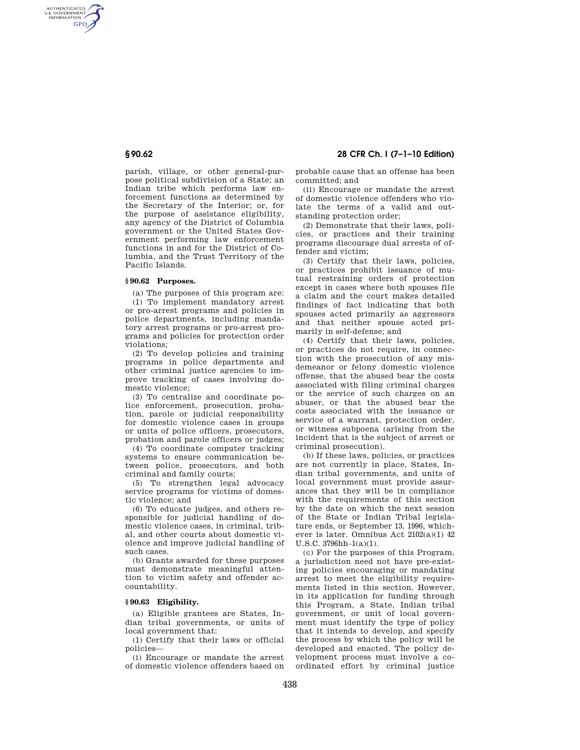AUTHENTICATED<br>U.S. GOVERNMENT<br>INFORMATION GPO

> parish, village, or other general-purpose political subdivision of a State; an Indian tribe which performs law enforcement functions as determined by the Secretary of the Interior; or, for the purpose of assistance eligibility, any agency of the District of Columbia government or the United States Government performing law enforcement functions in and for the District of Columbia, and the Trust Territory of the Pacific Islands.

### **§ 90.62 Purposes.**

(a) The purposes of this program are: (1) To implement mandatory arrest or pro-arrest programs and policies in police departments, including mandatory arrest programs or pro-arrest programs and policies for protection order violations;

(2) To develop policies and training programs in police departments and other criminal justice agencies to improve tracking of cases involving domestic violence;

(3) To centralize and coordinate police enforcement, prosecution, probation, parole or judicial responsibility for domestic violence cases in groups or units of police officers, prosecutors, probation and parole officers or judges;

(4) To coordinate computer tracking systems to ensure communication between police, prosecutors, and both criminal and family courts;

(5) To strengthen legal advocacy service programs for victims of domestic violence; and

(6) To educate judges, and others responsible for judicial handling of domestic violence cases, in criminal, tribal, and other courts about domestic violence and improve judicial handling of such cases.

(b) Grants awarded for these purposes must demonstrate meaningful attention to victim safety and offender accountability.

#### **§ 90.63 Eligibility.**

(a) Eligible grantees are States, Indian tribal governments, or units of local government that:

(1) Certify that their laws or official policies—

(i) Encourage or mandate the arrest of domestic violence offenders based on

**§ 90.62 28 CFR Ch. I (7–1–10 Edition)** 

probable cause that an offense has been committed; and

(ii) Encourage or mandate the arrest of domestic violence offenders who violate the terms of a valid and outstanding protection order;

(2) Demonstrate that their laws, policies, or practices and their training programs discourage dual arrests of offender and victim;

(3) Certify that their laws, policies, or practices prohibit issuance of mutual restraining orders of protection except in cases where both spouses file a claim and the court makes detailed findings of fact indicating that both spouses acted primarily as aggressors and that neither spouse acted primarily in self-defense; and

(4) Certify that their laws, policies, or practices do not require, in connection with the prosecution of any misdemeanor or felony domestic violence offense, that the abused bear the costs associated with filing criminal charges or the service of such charges on an abuser, or that the abused bear the costs associated with the issuance or service of a warrant, protection order, or witness subpoena (arising from the incident that is the subject of arrest or criminal prosecution).

(b) If these laws, policies, or practices are not currently in place, States, Indian tribal governments, and units of local government must provide assurances that they will be in compliance with the requirements of this section by the date on which the next session of the State or Indian Tribal legislature ends, or September 13, 1996, whichever is later. Omnibus Act 2102(a)(1) 42 U.S.C. 3796hh–1(a)(1).

(c) For the purposes of this Program, a jurisdiction need not have pre-existing policies encouraging or mandating arrest to meet the eligibility requirements listed in this section. However, in its application for funding through this Program, a State, Indian tribal government, or unit of local government must identify the type of policy that it intends to develop, and specify the process by which the policy will be developed and enacted. The policy development process must involve a coordinated effort by criminal justice